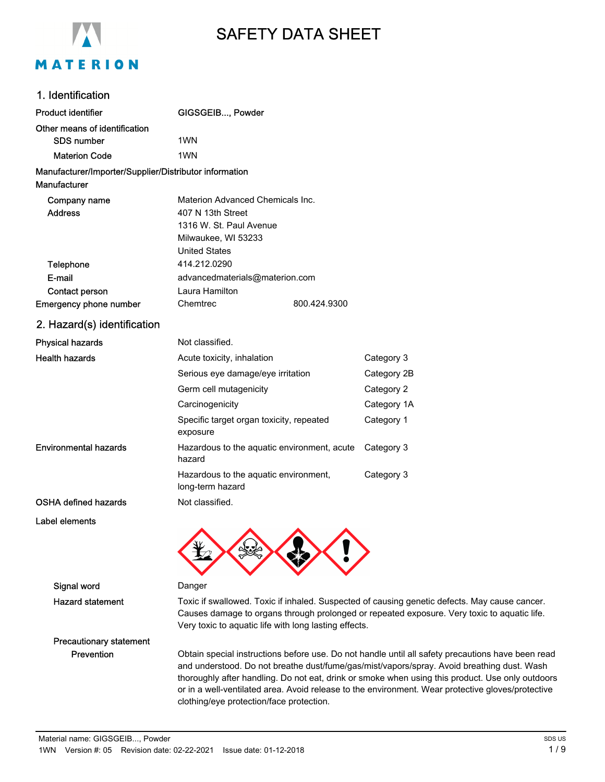

# SAFETY DATA SHEET

# 1. Identification

| <b>Product identifier</b>                              | GIGSGEIB, Powder                                          |              |             |
|--------------------------------------------------------|-----------------------------------------------------------|--------------|-------------|
| Other means of identification                          |                                                           |              |             |
| <b>SDS number</b>                                      | 1 <sub>WN</sub>                                           |              |             |
| <b>Materion Code</b>                                   | 1 <sub>WN</sub>                                           |              |             |
| Manufacturer/Importer/Supplier/Distributor information |                                                           |              |             |
| Manufacturer                                           |                                                           |              |             |
| Company name                                           | Materion Advanced Chemicals Inc.                          |              |             |
| <b>Address</b>                                         | 407 N 13th Street                                         |              |             |
|                                                        | 1316 W. St. Paul Avenue                                   |              |             |
|                                                        | Milwaukee, WI 53233                                       |              |             |
|                                                        | <b>United States</b>                                      |              |             |
| Telephone                                              | 414.212.0290                                              |              |             |
| E-mail                                                 | advancedmaterials@materion.com                            |              |             |
| Contact person                                         | Laura Hamilton                                            |              |             |
| Emergency phone number                                 | Chemtrec                                                  | 800.424.9300 |             |
| 2. Hazard(s) identification                            |                                                           |              |             |
| <b>Physical hazards</b>                                | Not classified.                                           |              |             |
| <b>Health hazards</b>                                  | Acute toxicity, inhalation                                |              | Category 3  |
|                                                        | Serious eye damage/eye irritation                         |              | Category 2B |
|                                                        | Germ cell mutagenicity                                    |              | Category 2  |
|                                                        | Carcinogenicity                                           |              | Category 1A |
|                                                        | Specific target organ toxicity, repeated<br>exposure      |              | Category 1  |
| <b>Environmental hazards</b>                           | Hazardous to the aquatic environment, acute<br>hazard     |              | Category 3  |
|                                                        | Hazardous to the aquatic environment,<br>long-term hazard |              | Category 3  |
| <b>OSHA defined hazards</b>                            | Not classified.                                           |              |             |
| Label elements                                         |                                                           |              |             |

### Signal word Danger

Hazard statement Toxic if swallowed. Toxic if inhaled. Suspected of causing genetic defects. May cause cancer. Causes damage to organs through prolonged or repeated exposure. Very toxic to aquatic life. Very toxic to aquatic life with long lasting effects.

# Precautionary statement

Prevention Obtain special instructions before use. Do not handle until all safety precautions have been read and understood. Do not breathe dust/fume/gas/mist/vapors/spray. Avoid breathing dust. Wash thoroughly after handling. Do not eat, drink or smoke when using this product. Use only outdoors or in a well-ventilated area. Avoid release to the environment. Wear protective gloves/protective clothing/eye protection/face protection.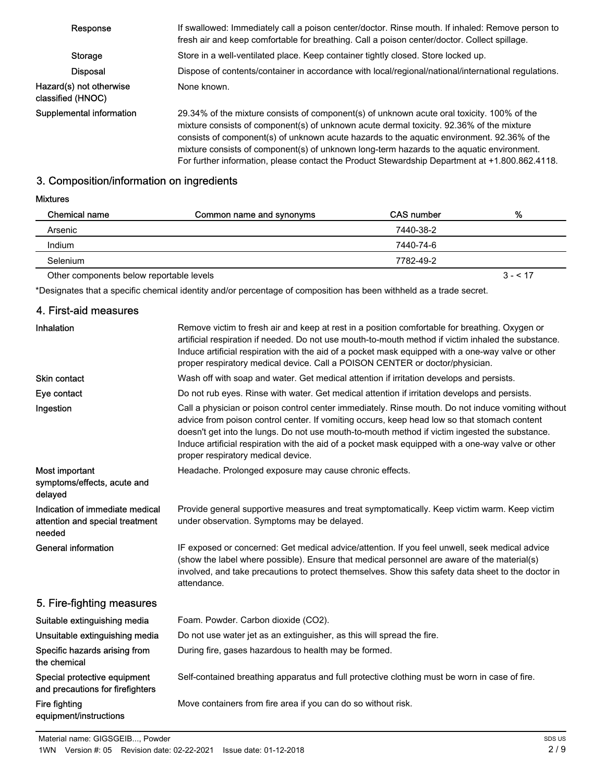| Response                                      | If swallowed: Immediately call a poison center/doctor. Rinse mouth. If inhaled: Remove person to<br>fresh air and keep comfortable for breathing. Call a poison center/doctor. Collect spillage.                                                                                                                                                                                                                                                                                     |
|-----------------------------------------------|--------------------------------------------------------------------------------------------------------------------------------------------------------------------------------------------------------------------------------------------------------------------------------------------------------------------------------------------------------------------------------------------------------------------------------------------------------------------------------------|
| Storage                                       | Store in a well-ventilated place. Keep container tightly closed. Store locked up.                                                                                                                                                                                                                                                                                                                                                                                                    |
| <b>Disposal</b>                               | Dispose of contents/container in accordance with local/regional/national/international regulations.                                                                                                                                                                                                                                                                                                                                                                                  |
| Hazard(s) not otherwise<br>classified (HNOC). | None known.                                                                                                                                                                                                                                                                                                                                                                                                                                                                          |
| Supplemental information                      | 29.34% of the mixture consists of component(s) of unknown acute oral toxicity. 100% of the<br>mixture consists of component(s) of unknown acute dermal toxicity. 92.36% of the mixture<br>consists of component(s) of unknown acute hazards to the aquatic environment. 92.36% of the<br>mixture consists of component(s) of unknown long-term hazards to the aquatic environment.<br>For further information, please contact the Product Stewardship Department at +1.800.862.4118. |

# 3. Composition/information on ingredients

# Mixtures

| Chemical name                            | Common name and synonyms | CAS number | %         |
|------------------------------------------|--------------------------|------------|-----------|
| Arsenic                                  |                          | 7440-38-2  |           |
| <b>Indium</b>                            |                          | 7440-74-6  |           |
| Selenium                                 |                          | 7782-49-2  |           |
| Other components below reportable levels |                          |            | $3 - 517$ |

\*Designates that a specific chemical identity and/or percentage of composition has been withheld as a trade secret.

# 4. First-aid measures

| Inhalation                                                                   | Remove victim to fresh air and keep at rest in a position comfortable for breathing. Oxygen or<br>artificial respiration if needed. Do not use mouth-to-mouth method if victim inhaled the substance.<br>Induce artificial respiration with the aid of a pocket mask equipped with a one-way valve or other<br>proper respiratory medical device. Call a POISON CENTER or doctor/physician.                                                      |
|------------------------------------------------------------------------------|--------------------------------------------------------------------------------------------------------------------------------------------------------------------------------------------------------------------------------------------------------------------------------------------------------------------------------------------------------------------------------------------------------------------------------------------------|
| Skin contact                                                                 | Wash off with soap and water. Get medical attention if irritation develops and persists.                                                                                                                                                                                                                                                                                                                                                         |
| Eye contact                                                                  | Do not rub eyes. Rinse with water. Get medical attention if irritation develops and persists.                                                                                                                                                                                                                                                                                                                                                    |
| Ingestion                                                                    | Call a physician or poison control center immediately. Rinse mouth. Do not induce vomiting without<br>advice from poison control center. If vomiting occurs, keep head low so that stomach content<br>doesn't get into the lungs. Do not use mouth-to-mouth method if victim ingested the substance.<br>Induce artificial respiration with the aid of a pocket mask equipped with a one-way valve or other<br>proper respiratory medical device. |
| Most important<br>symptoms/effects, acute and<br>delayed                     | Headache. Prolonged exposure may cause chronic effects.                                                                                                                                                                                                                                                                                                                                                                                          |
| Indication of immediate medical<br>attention and special treatment<br>needed | Provide general supportive measures and treat symptomatically. Keep victim warm. Keep victim<br>under observation. Symptoms may be delayed.                                                                                                                                                                                                                                                                                                      |
| <b>General information</b>                                                   | IF exposed or concerned: Get medical advice/attention. If you feel unwell, seek medical advice<br>(show the label where possible). Ensure that medical personnel are aware of the material(s)<br>involved, and take precautions to protect themselves. Show this safety data sheet to the doctor in<br>attendance.                                                                                                                               |
| 5. Fire-fighting measures                                                    |                                                                                                                                                                                                                                                                                                                                                                                                                                                  |
| Suitable extinguishing media                                                 | Foam. Powder. Carbon dioxide (CO2).                                                                                                                                                                                                                                                                                                                                                                                                              |
| Unsuitable extinguishing media                                               | Do not use water jet as an extinguisher, as this will spread the fire.                                                                                                                                                                                                                                                                                                                                                                           |
| Specific hazards arising from<br>the chemical                                | During fire, gases hazardous to health may be formed.                                                                                                                                                                                                                                                                                                                                                                                            |
| Special protective equipment<br>and precautions for firefighters             | Self-contained breathing apparatus and full protective clothing must be worn in case of fire.                                                                                                                                                                                                                                                                                                                                                    |
| Fire fighting<br>equipment/instructions                                      | Move containers from fire area if you can do so without risk.                                                                                                                                                                                                                                                                                                                                                                                    |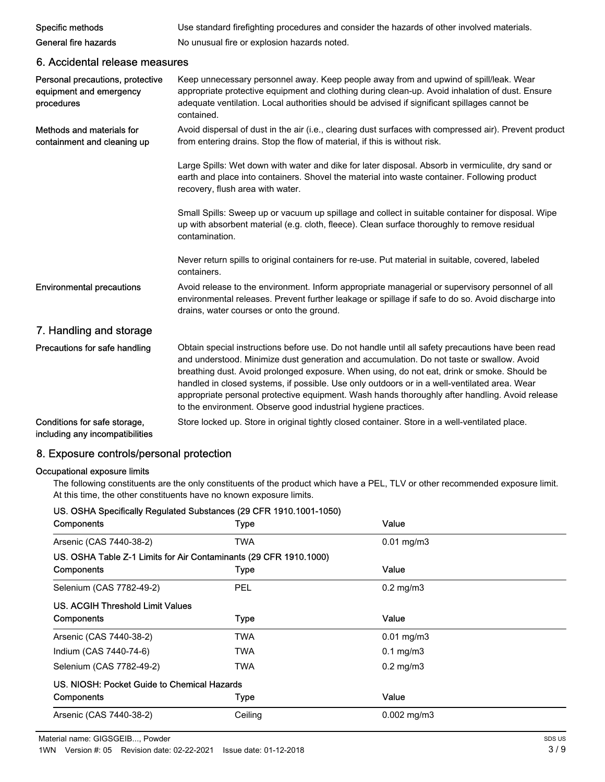| Specific methods                                                          | Use standard firefighting procedures and consider the hazards of other involved materials.                                                                                                                                                                                                                                                                                                                                                                                                                                                                        |
|---------------------------------------------------------------------------|-------------------------------------------------------------------------------------------------------------------------------------------------------------------------------------------------------------------------------------------------------------------------------------------------------------------------------------------------------------------------------------------------------------------------------------------------------------------------------------------------------------------------------------------------------------------|
| General fire hazards                                                      | No unusual fire or explosion hazards noted.                                                                                                                                                                                                                                                                                                                                                                                                                                                                                                                       |
| 6. Accidental release measures                                            |                                                                                                                                                                                                                                                                                                                                                                                                                                                                                                                                                                   |
| Personal precautions, protective<br>equipment and emergency<br>procedures | Keep unnecessary personnel away. Keep people away from and upwind of spill/leak. Wear<br>appropriate protective equipment and clothing during clean-up. Avoid inhalation of dust. Ensure<br>adequate ventilation. Local authorities should be advised if significant spillages cannot be<br>contained.                                                                                                                                                                                                                                                            |
| Methods and materials for<br>containment and cleaning up                  | Avoid dispersal of dust in the air (i.e., clearing dust surfaces with compressed air). Prevent product<br>from entering drains. Stop the flow of material, if this is without risk.                                                                                                                                                                                                                                                                                                                                                                               |
|                                                                           | Large Spills: Wet down with water and dike for later disposal. Absorb in vermiculite, dry sand or<br>earth and place into containers. Shovel the material into waste container. Following product<br>recovery, flush area with water.                                                                                                                                                                                                                                                                                                                             |
|                                                                           | Small Spills: Sweep up or vacuum up spillage and collect in suitable container for disposal. Wipe<br>up with absorbent material (e.g. cloth, fleece). Clean surface thoroughly to remove residual<br>contamination.                                                                                                                                                                                                                                                                                                                                               |
|                                                                           | Never return spills to original containers for re-use. Put material in suitable, covered, labeled<br>containers.                                                                                                                                                                                                                                                                                                                                                                                                                                                  |
| <b>Environmental precautions</b>                                          | Avoid release to the environment. Inform appropriate managerial or supervisory personnel of all<br>environmental releases. Prevent further leakage or spillage if safe to do so. Avoid discharge into<br>drains, water courses or onto the ground.                                                                                                                                                                                                                                                                                                                |
| 7. Handling and storage                                                   |                                                                                                                                                                                                                                                                                                                                                                                                                                                                                                                                                                   |
| Precautions for safe handling                                             | Obtain special instructions before use. Do not handle until all safety precautions have been read<br>and understood. Minimize dust generation and accumulation. Do not taste or swallow. Avoid<br>breathing dust. Avoid prolonged exposure. When using, do not eat, drink or smoke. Should be<br>handled in closed systems, if possible. Use only outdoors or in a well-ventilated area. Wear<br>appropriate personal protective equipment. Wash hands thoroughly after handling. Avoid release<br>to the environment. Observe good industrial hygiene practices. |
| Conditions for safe storage,<br>including any incompatibilities           | Store locked up. Store in original tightly closed container. Store in a well-ventilated place.                                                                                                                                                                                                                                                                                                                                                                                                                                                                    |

# 8. Exposure controls/personal protection

# Occupational exposure limits

The following constituents are the only constituents of the product which have a PEL, TLV or other recommended exposure limit. At this time, the other constituents have no known exposure limits.

| US. OSHA Specifically Regulated Substances (29 CFR 1910.1001-1050) |             |                         |  |  |
|--------------------------------------------------------------------|-------------|-------------------------|--|--|
| Components                                                         | <b>Type</b> | Value                   |  |  |
| Arsenic (CAS 7440-38-2)                                            | TWA         | $0.01$ mg/m $3$         |  |  |
| US. OSHA Table Z-1 Limits for Air Contaminants (29 CFR 1910.1000)  |             |                         |  |  |
| Components                                                         | <b>Type</b> | Value                   |  |  |
| Selenium (CAS 7782-49-2)                                           | <b>PEL</b>  | $0.2 \text{ mg/m}$ 3    |  |  |
| US. ACGIH Threshold Limit Values                                   |             |                         |  |  |
| <b>Components</b>                                                  | <b>Type</b> | Value                   |  |  |
| Arsenic (CAS 7440-38-2)                                            | TWA         | $0.01 \,\mathrm{mg/m3}$ |  |  |
| Indium (CAS 7440-74-6)                                             | TWA         | $0.1 \text{ mg/m}$ 3    |  |  |
| Selenium (CAS 7782-49-2)                                           | TWA         | $0.2$ mg/m $3$          |  |  |
| US. NIOSH: Pocket Guide to Chemical Hazards                        |             |                         |  |  |
| Components                                                         | Type        | Value                   |  |  |
| Arsenic (CAS 7440-38-2)                                            | Ceiling     | $0.002 \text{ mg/m}$ 3  |  |  |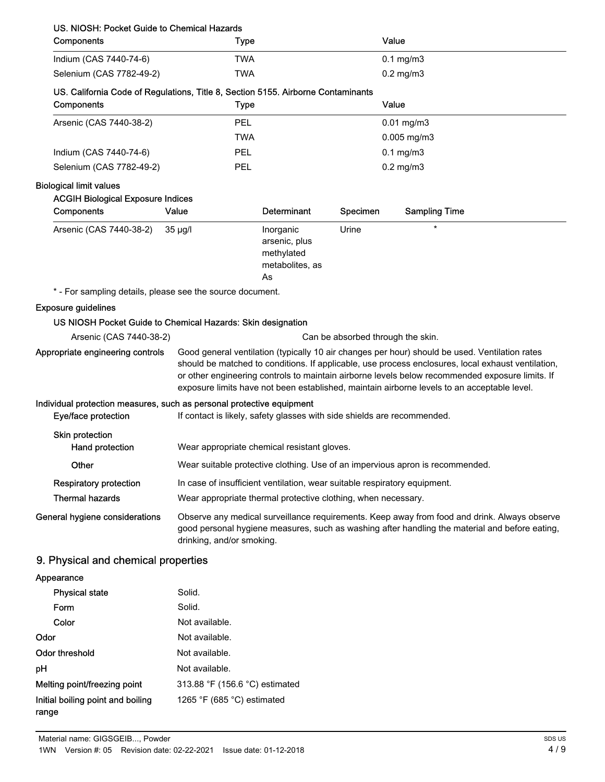| US. NIOSH: Pocket Guide to Chemical Hazards<br>Components                                      | <b>Type</b>                                                                                                                                                                                                                                                                                                                                                                                            |                                                                   |          | Value                                                                         |
|------------------------------------------------------------------------------------------------|--------------------------------------------------------------------------------------------------------------------------------------------------------------------------------------------------------------------------------------------------------------------------------------------------------------------------------------------------------------------------------------------------------|-------------------------------------------------------------------|----------|-------------------------------------------------------------------------------|
| Indium (CAS 7440-74-6)                                                                         | <b>TWA</b>                                                                                                                                                                                                                                                                                                                                                                                             |                                                                   |          | $0.1$ mg/m $3$                                                                |
| Selenium (CAS 7782-49-2)                                                                       | <b>TWA</b>                                                                                                                                                                                                                                                                                                                                                                                             |                                                                   |          | $0.2$ mg/m $3$                                                                |
| US. California Code of Regulations, Title 8, Section 5155. Airborne Contaminants<br>Components | <b>Type</b>                                                                                                                                                                                                                                                                                                                                                                                            |                                                                   |          | Value                                                                         |
| Arsenic (CAS 7440-38-2)                                                                        | PEL                                                                                                                                                                                                                                                                                                                                                                                                    |                                                                   |          | $0.01$ mg/m $3$                                                               |
|                                                                                                | TWA                                                                                                                                                                                                                                                                                                                                                                                                    |                                                                   |          | $0.005$ mg/m $3$                                                              |
| Indium (CAS 7440-74-6)                                                                         | PEL                                                                                                                                                                                                                                                                                                                                                                                                    |                                                                   |          | $0.1$ mg/m $3$                                                                |
| Selenium (CAS 7782-49-2)                                                                       | PEL                                                                                                                                                                                                                                                                                                                                                                                                    |                                                                   |          | $0.2$ mg/m $3$                                                                |
| <b>Biological limit values</b><br><b>ACGIH Biological Exposure Indices</b><br>Components       | Value                                                                                                                                                                                                                                                                                                                                                                                                  | Determinant                                                       | Specimen | <b>Sampling Time</b>                                                          |
| Arsenic (CAS 7440-38-2)                                                                        | $35 \mu g/l$                                                                                                                                                                                                                                                                                                                                                                                           | Inorganic<br>arsenic, plus<br>methylated<br>metabolites, as<br>As | Urine    | $\star$                                                                       |
| * - For sampling details, please see the source document.                                      |                                                                                                                                                                                                                                                                                                                                                                                                        |                                                                   |          |                                                                               |
| <b>Exposure guidelines</b>                                                                     |                                                                                                                                                                                                                                                                                                                                                                                                        |                                                                   |          |                                                                               |
| US NIOSH Pocket Guide to Chemical Hazards: Skin designation                                    |                                                                                                                                                                                                                                                                                                                                                                                                        |                                                                   |          |                                                                               |
| Arsenic (CAS 7440-38-2)                                                                        |                                                                                                                                                                                                                                                                                                                                                                                                        |                                                                   |          | Can be absorbed through the skin.                                             |
| Appropriate engineering controls                                                               | Good general ventilation (typically 10 air changes per hour) should be used. Ventilation rates<br>should be matched to conditions. If applicable, use process enclosures, local exhaust ventilation,<br>or other engineering controls to maintain airborne levels below recommended exposure limits. If<br>exposure limits have not been established, maintain airborne levels to an acceptable level. |                                                                   |          |                                                                               |
| Individual protection measures, such as personal protective equipment<br>Eye/face protection   | If contact is likely, safety glasses with side shields are recommended.                                                                                                                                                                                                                                                                                                                                |                                                                   |          |                                                                               |
| Skin protection<br>Hand protection                                                             | Wear appropriate chemical resistant gloves.                                                                                                                                                                                                                                                                                                                                                            |                                                                   |          |                                                                               |
| Other                                                                                          |                                                                                                                                                                                                                                                                                                                                                                                                        |                                                                   |          | Wear suitable protective clothing. Use of an impervious apron is recommended. |
| <b>Respiratory protection</b>                                                                  | In case of insufficient ventilation, wear suitable respiratory equipment.                                                                                                                                                                                                                                                                                                                              |                                                                   |          |                                                                               |
| <b>Thermal hazards</b>                                                                         | Wear appropriate thermal protective clothing, when necessary.                                                                                                                                                                                                                                                                                                                                          |                                                                   |          |                                                                               |
| General hygiene considerations                                                                 | Observe any medical surveillance requirements. Keep away from food and drink. Always observe<br>good personal hygiene measures, such as washing after handling the material and before eating,<br>drinking, and/or smoking.                                                                                                                                                                            |                                                                   |          |                                                                               |
| 9. Physical and chemical properties                                                            |                                                                                                                                                                                                                                                                                                                                                                                                        |                                                                   |          |                                                                               |
| Appearance                                                                                     |                                                                                                                                                                                                                                                                                                                                                                                                        |                                                                   |          |                                                                               |
| <b>Physical state</b>                                                                          | Solid.                                                                                                                                                                                                                                                                                                                                                                                                 |                                                                   |          |                                                                               |
| Form                                                                                           | Solid.                                                                                                                                                                                                                                                                                                                                                                                                 |                                                                   |          |                                                                               |
| Color                                                                                          | Not available.                                                                                                                                                                                                                                                                                                                                                                                         |                                                                   |          |                                                                               |
| Odor                                                                                           | Not available.                                                                                                                                                                                                                                                                                                                                                                                         |                                                                   |          |                                                                               |
| <b>Odor threshold</b>                                                                          | Not available.                                                                                                                                                                                                                                                                                                                                                                                         |                                                                   |          |                                                                               |
| рH                                                                                             | Not available.                                                                                                                                                                                                                                                                                                                                                                                         |                                                                   |          |                                                                               |
| Melting point/freezing point                                                                   | 313.88 °F (156.6 °C) estimated                                                                                                                                                                                                                                                                                                                                                                         |                                                                   |          |                                                                               |

1265 °F (685 °C) estimated

Initial boiling point and boiling

range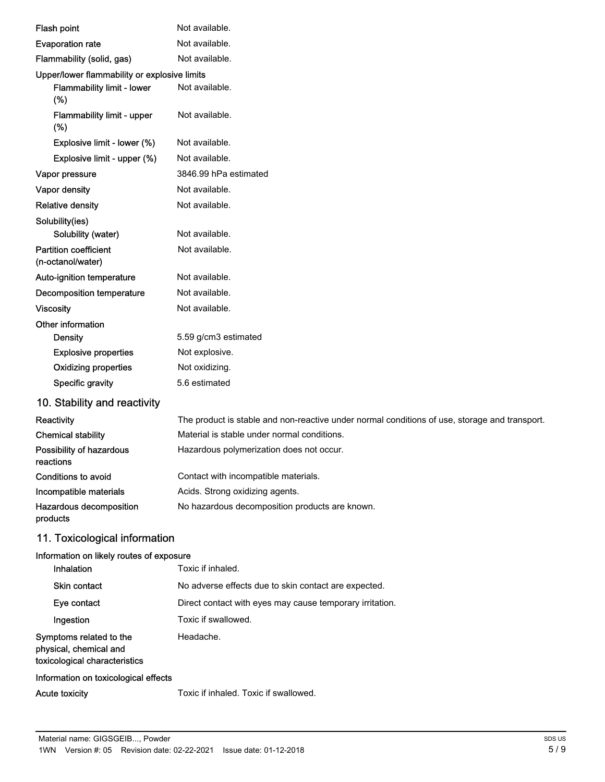| Flash point                                                                        | Not available.                                                                                |
|------------------------------------------------------------------------------------|-----------------------------------------------------------------------------------------------|
| <b>Evaporation rate</b>                                                            | Not available.                                                                                |
| Flammability (solid, gas)                                                          | Not available.                                                                                |
| Upper/lower flammability or explosive limits                                       |                                                                                               |
| <b>Flammability limit - lower</b><br>(%)                                           | Not available.                                                                                |
| Flammability limit - upper<br>(%)                                                  | Not available.                                                                                |
| Explosive limit - lower (%)                                                        | Not available.                                                                                |
| Explosive limit - upper (%)                                                        | Not available.                                                                                |
| Vapor pressure                                                                     | 3846.99 hPa estimated                                                                         |
| Vapor density                                                                      | Not available.                                                                                |
| <b>Relative density</b>                                                            | Not available.                                                                                |
| Solubility(ies)                                                                    |                                                                                               |
| Solubility (water)                                                                 | Not available.                                                                                |
| <b>Partition coefficient</b><br>(n-octanol/water)                                  | Not available.                                                                                |
| Auto-ignition temperature                                                          | Not available.                                                                                |
| <b>Decomposition temperature</b>                                                   | Not available.                                                                                |
| <b>Viscosity</b>                                                                   | Not available.                                                                                |
| Other information                                                                  |                                                                                               |
| <b>Density</b>                                                                     | 5.59 g/cm3 estimated                                                                          |
| <b>Explosive properties</b>                                                        | Not explosive.                                                                                |
| <b>Oxidizing properties</b>                                                        | Not oxidizing.                                                                                |
| Specific gravity                                                                   | 5.6 estimated                                                                                 |
| 10. Stability and reactivity                                                       |                                                                                               |
| Reactivity                                                                         | The product is stable and non-reactive under normal conditions of use, storage and transport. |
| <b>Chemical stability</b>                                                          | Material is stable under normal conditions.                                                   |
| Possibility of hazardous<br>reactions                                              | Hazardous polymerization does not occur.                                                      |
| Conditions to avoid                                                                | Contact with incompatible materials.                                                          |
| Incompatible materials                                                             | Acids. Strong oxidizing agents.                                                               |
| Hazardous decomposition<br>products                                                | No hazardous decomposition products are known.                                                |
| 11. Toxicological information                                                      |                                                                                               |
| Information on likely routes of exposure<br>Inhalation                             | Toxic if inhaled.                                                                             |
| Skin contact                                                                       | No adverse effects due to skin contact are expected.                                          |
| Eye contact                                                                        | Direct contact with eyes may cause temporary irritation.                                      |
| Ingestion                                                                          | Toxic if swallowed.                                                                           |
| Symptoms related to the<br>physical, chemical and<br>toxicological characteristics | Headache.                                                                                     |

# Information on toxicological effects

Acute toxicity Toxic if inhaled. Toxic if swallowed.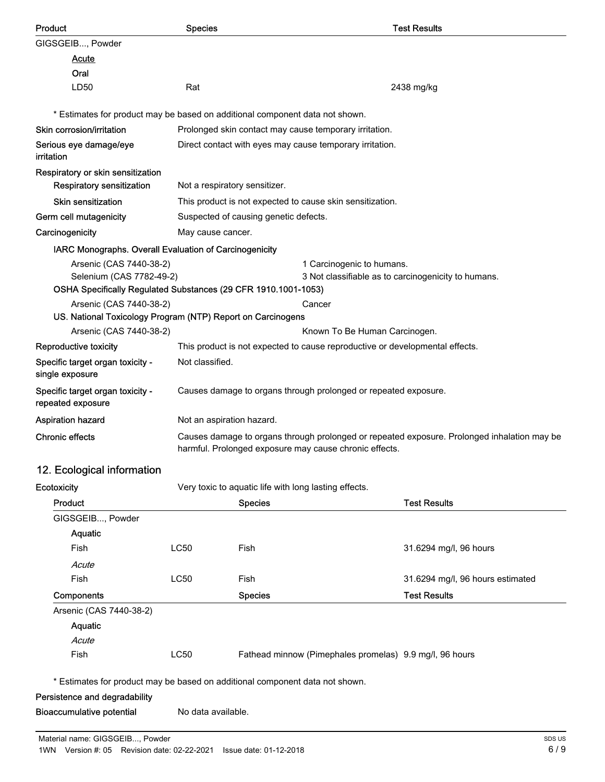| Product                                                                                    | <b>Species</b>                                                                                                                                        |                                                                 |                                                                              | <b>Test Results</b>                                 |
|--------------------------------------------------------------------------------------------|-------------------------------------------------------------------------------------------------------------------------------------------------------|-----------------------------------------------------------------|------------------------------------------------------------------------------|-----------------------------------------------------|
| GIGSGEIB, Powder                                                                           |                                                                                                                                                       |                                                                 |                                                                              |                                                     |
| <u>Acute</u>                                                                               |                                                                                                                                                       |                                                                 |                                                                              |                                                     |
| Oral                                                                                       |                                                                                                                                                       |                                                                 |                                                                              |                                                     |
| LD50                                                                                       | Rat                                                                                                                                                   |                                                                 |                                                                              | 2438 mg/kg                                          |
| * Estimates for product may be based on additional component data not shown.               |                                                                                                                                                       |                                                                 |                                                                              |                                                     |
| Skin corrosion/irritation                                                                  |                                                                                                                                                       |                                                                 | Prolonged skin contact may cause temporary irritation.                       |                                                     |
| Serious eye damage/eye                                                                     | Direct contact with eyes may cause temporary irritation.                                                                                              |                                                                 |                                                                              |                                                     |
| irritation                                                                                 |                                                                                                                                                       |                                                                 |                                                                              |                                                     |
| Respiratory or skin sensitization                                                          |                                                                                                                                                       |                                                                 |                                                                              |                                                     |
| <b>Respiratory sensitization</b>                                                           | Not a respiratory sensitizer.                                                                                                                         |                                                                 |                                                                              |                                                     |
| <b>Skin sensitization</b>                                                                  |                                                                                                                                                       |                                                                 | This product is not expected to cause skin sensitization.                    |                                                     |
| Germ cell mutagenicity                                                                     |                                                                                                                                                       | Suspected of causing genetic defects.                           |                                                                              |                                                     |
| Carcinogenicity                                                                            | May cause cancer.                                                                                                                                     |                                                                 |                                                                              |                                                     |
| IARC Monographs. Overall Evaluation of Carcinogenicity                                     |                                                                                                                                                       |                                                                 |                                                                              |                                                     |
| Arsenic (CAS 7440-38-2)                                                                    |                                                                                                                                                       |                                                                 | 1 Carcinogenic to humans.                                                    |                                                     |
| Selenium (CAS 7782-49-2)<br>OSHA Specifically Regulated Substances (29 CFR 1910.1001-1053) |                                                                                                                                                       |                                                                 |                                                                              | 3 Not classifiable as to carcinogenicity to humans. |
| Arsenic (CAS 7440-38-2)                                                                    |                                                                                                                                                       |                                                                 | Cancer                                                                       |                                                     |
| US. National Toxicology Program (NTP) Report on Carcinogens                                |                                                                                                                                                       |                                                                 |                                                                              |                                                     |
| Arsenic (CAS 7440-38-2)                                                                    |                                                                                                                                                       |                                                                 | Known To Be Human Carcinogen.                                                |                                                     |
| Reproductive toxicity                                                                      |                                                                                                                                                       |                                                                 | This product is not expected to cause reproductive or developmental effects. |                                                     |
| Specific target organ toxicity -<br>single exposure                                        | Not classified.                                                                                                                                       |                                                                 |                                                                              |                                                     |
| Specific target organ toxicity -<br>repeated exposure                                      |                                                                                                                                                       | Causes damage to organs through prolonged or repeated exposure. |                                                                              |                                                     |
| <b>Aspiration hazard</b>                                                                   | Not an aspiration hazard.                                                                                                                             |                                                                 |                                                                              |                                                     |
| <b>Chronic effects</b>                                                                     | Causes damage to organs through prolonged or repeated exposure. Prolonged inhalation may be<br>harmful. Prolonged exposure may cause chronic effects. |                                                                 |                                                                              |                                                     |
| 12. Ecological information                                                                 |                                                                                                                                                       |                                                                 |                                                                              |                                                     |
| Ecotoxicity                                                                                |                                                                                                                                                       |                                                                 | Very toxic to aquatic life with long lasting effects.                        |                                                     |
| Product                                                                                    |                                                                                                                                                       | <b>Species</b>                                                  |                                                                              | <b>Test Results</b>                                 |
| GIGSGEIB, Powder                                                                           |                                                                                                                                                       |                                                                 |                                                                              |                                                     |
| Aquatic                                                                                    |                                                                                                                                                       |                                                                 |                                                                              |                                                     |
| Fish                                                                                       | <b>LC50</b>                                                                                                                                           | Fish                                                            |                                                                              | 31.6294 mg/l, 96 hours                              |
| Acute                                                                                      |                                                                                                                                                       |                                                                 |                                                                              |                                                     |
| Fish                                                                                       | <b>LC50</b>                                                                                                                                           | Fish                                                            |                                                                              | 31.6294 mg/l, 96 hours estimated                    |
| Components                                                                                 |                                                                                                                                                       | <b>Species</b>                                                  |                                                                              | <b>Test Results</b>                                 |
| Arsenic (CAS 7440-38-2)                                                                    |                                                                                                                                                       |                                                                 |                                                                              |                                                     |
| Aquatic                                                                                    |                                                                                                                                                       |                                                                 |                                                                              |                                                     |
| Acute                                                                                      |                                                                                                                                                       |                                                                 |                                                                              |                                                     |
| Fish                                                                                       | <b>LC50</b>                                                                                                                                           |                                                                 | Fathead minnow (Pimephales promelas) 9.9 mg/l, 96 hours                      |                                                     |
| * Estimates for product may be based on additional component data not shown.               |                                                                                                                                                       |                                                                 |                                                                              |                                                     |
| Persistence and degradability                                                              |                                                                                                                                                       |                                                                 |                                                                              |                                                     |
| <b>Bioaccumulative potential</b>                                                           | No data available.                                                                                                                                    |                                                                 |                                                                              |                                                     |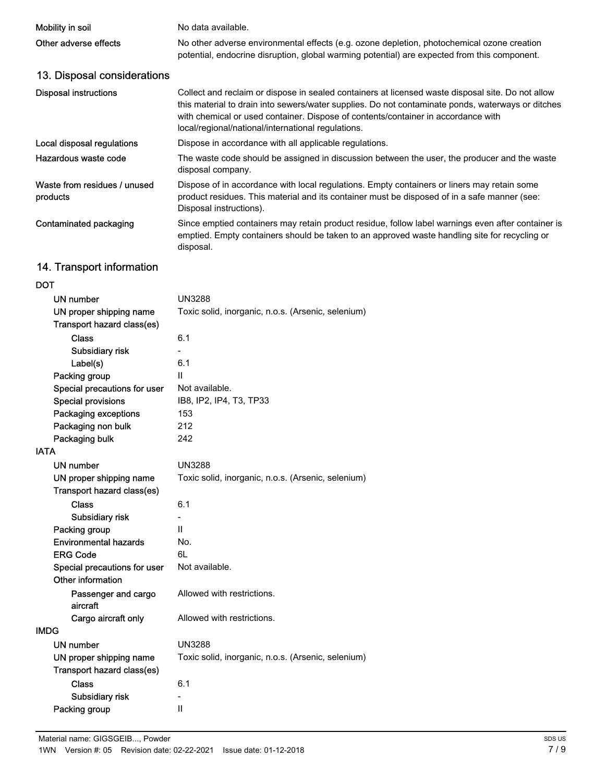| Mobility in soil                                      | No data available.                                                                                                                                                                                                                                                                                                                                |
|-------------------------------------------------------|---------------------------------------------------------------------------------------------------------------------------------------------------------------------------------------------------------------------------------------------------------------------------------------------------------------------------------------------------|
| Other adverse effects                                 | No other adverse environmental effects (e.g. ozone depletion, photochemical ozone creation<br>potential, endocrine disruption, global warming potential) are expected from this component.                                                                                                                                                        |
| 13. Disposal considerations                           |                                                                                                                                                                                                                                                                                                                                                   |
| <b>Disposal instructions</b>                          | Collect and reclaim or dispose in sealed containers at licensed waste disposal site. Do not allow<br>this material to drain into sewers/water supplies. Do not contaminate ponds, waterways or ditches<br>with chemical or used container. Dispose of contents/container in accordance with<br>local/regional/national/international regulations. |
| Local disposal regulations                            | Dispose in accordance with all applicable regulations.                                                                                                                                                                                                                                                                                            |
| Hazardous waste code                                  | The waste code should be assigned in discussion between the user, the producer and the waste<br>disposal company.                                                                                                                                                                                                                                 |
| Waste from residues / unused<br>products              | Dispose of in accordance with local regulations. Empty containers or liners may retain some<br>product residues. This material and its container must be disposed of in a safe manner (see:<br>Disposal instructions).                                                                                                                            |
| <b>Contaminated packaging</b>                         | Since emptied containers may retain product residue, follow label warnings even after container is<br>emptied. Empty containers should be taken to an approved waste handling site for recycling or<br>disposal.                                                                                                                                  |
| 14. Transport information                             |                                                                                                                                                                                                                                                                                                                                                   |
| <b>DOT</b>                                            |                                                                                                                                                                                                                                                                                                                                                   |
| <b>UN number</b>                                      | <b>UN3288</b>                                                                                                                                                                                                                                                                                                                                     |
| UN proper shipping name<br>Transport hazard class(es) | Toxic solid, inorganic, n.o.s. (Arsenic, selenium)                                                                                                                                                                                                                                                                                                |
| <b>Class</b>                                          | 6.1                                                                                                                                                                                                                                                                                                                                               |
| Subsidiary risk                                       |                                                                                                                                                                                                                                                                                                                                                   |
| Label(s)                                              | 6.1                                                                                                                                                                                                                                                                                                                                               |
| Packing group                                         | $\mathbf{H}$                                                                                                                                                                                                                                                                                                                                      |
| Special precautions for user                          | Not available.                                                                                                                                                                                                                                                                                                                                    |
| <b>Special provisions</b>                             | IB8, IP2, IP4, T3, TP33                                                                                                                                                                                                                                                                                                                           |
| Packaging exceptions                                  | 153                                                                                                                                                                                                                                                                                                                                               |
| Packaging non bulk                                    | 212                                                                                                                                                                                                                                                                                                                                               |
| Packaging bulk                                        | 242                                                                                                                                                                                                                                                                                                                                               |
| <b>IATA</b>                                           |                                                                                                                                                                                                                                                                                                                                                   |
| <b>UN number</b>                                      | <b>UN3288</b>                                                                                                                                                                                                                                                                                                                                     |
| UN proper shipping name<br>Transport hazard class(es) | Toxic solid, inorganic, n.o.s. (Arsenic, selenium)                                                                                                                                                                                                                                                                                                |
| <b>Class</b>                                          | 6.1                                                                                                                                                                                                                                                                                                                                               |
| Subsidiary risk                                       |                                                                                                                                                                                                                                                                                                                                                   |
| Packing group                                         | $\mathbf{H}$                                                                                                                                                                                                                                                                                                                                      |
| <b>Environmental hazards</b>                          | No.                                                                                                                                                                                                                                                                                                                                               |
| <b>ERG Code</b>                                       | 6L                                                                                                                                                                                                                                                                                                                                                |
| Special precautions for user<br>Other information     | Not available.                                                                                                                                                                                                                                                                                                                                    |
| Passenger and cargo<br>aircraft                       | Allowed with restrictions.                                                                                                                                                                                                                                                                                                                        |
| Cargo aircraft only                                   | Allowed with restrictions.                                                                                                                                                                                                                                                                                                                        |
| <b>IMDG</b>                                           |                                                                                                                                                                                                                                                                                                                                                   |
| <b>UN number</b>                                      | <b>UN3288</b>                                                                                                                                                                                                                                                                                                                                     |
| UN proper shipping name<br>Transport hazard class(es) | Toxic solid, inorganic, n.o.s. (Arsenic, selenium)                                                                                                                                                                                                                                                                                                |
| <b>Class</b>                                          | 6.1                                                                                                                                                                                                                                                                                                                                               |
| Subsidiary risk                                       |                                                                                                                                                                                                                                                                                                                                                   |
| Packing group                                         | $\mathbf{II}$                                                                                                                                                                                                                                                                                                                                     |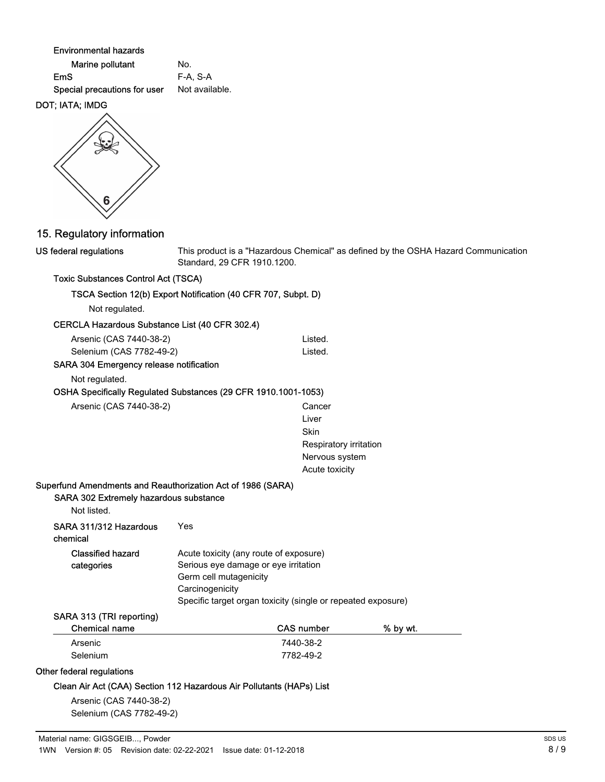Environmental hazards

| Marine pollutant             | No.       |
|------------------------------|-----------|
| EmS                          | F-A. S-A  |
| Special precautions for user | Not avail |

# DOT; IATA; IMDG

US federal regulations



This product is a "Hazardous Chemical" as defined by the OSHA Hazard Communication Standard, 29 CFR 1910.1200.

# Toxic Substances Control Act (TSCA)

| TSCA Section 12(b) Export Notification (40 CFR 707, Subpt. D) |  |
|---------------------------------------------------------------|--|
|---------------------------------------------------------------|--|

available.

Not regulated.

|  | CERCLA Hazardous Substance List (40 CFR 302.4) |
|--|------------------------------------------------|
|--|------------------------------------------------|

| Arsenic (CAS 7440-38-2)  | Listed. |
|--------------------------|---------|
| Selenium (CAS 7782-49-2) | Listed. |

# SARA 304 Emergency release notification

Not regulated.

# OSHA Specifically Regulated Substances (29 CFR 1910.1001-1053)

| Arsenic (CAS 7440-38-2) | Cancer |
|-------------------------|--------|
|                         |        |

Liver **Skin** Respiratory irritation Nervous system Acute toxicity

## Superfund Amendments and Reauthorization Act of 1986 (SARA)

### SARA 302 Extremely hazardous substance

| Not listed.                        |                                                                                                                                                                                             |
|------------------------------------|---------------------------------------------------------------------------------------------------------------------------------------------------------------------------------------------|
| SARA 311/312 Hazardous<br>chemical | Yes                                                                                                                                                                                         |
| Classified hazard<br>categories    | Acute toxicity (any route of exposure)<br>Serious eye damage or eye irritation<br>Germ cell mutagenicity<br>Carcinogenicity<br>Specific target organ toxicity (single or repeated exposure) |

# SARA 313 (TRI reporting)

| Chemical name | <b>CAS number</b> | % by wt. |
|---------------|-------------------|----------|
| Arsenic       | 7440-38-2         |          |
| Selenium      | 7782-49-2         |          |

### Other federal regulations

### Clean Air Act (CAA) Section 112 Hazardous Air Pollutants (HAPs) List

Arsenic (CAS 7440-38-2) Selenium (CAS 7782-49-2)